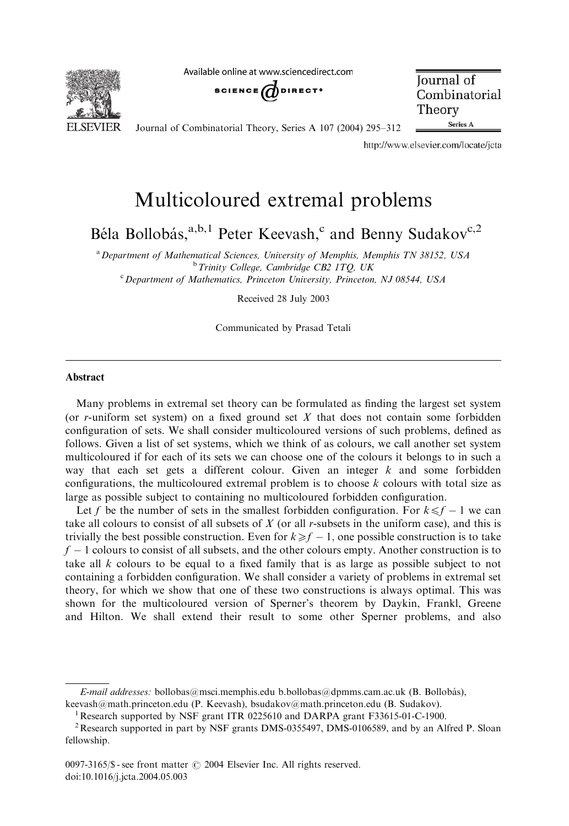**ELSEVIER** 

Available online at www.sciencedirect.com



**Journal** of Combinatorial Theory Series A

Journal of Combinatorial Theory, Series A 107 (2004) 295–312

http://www.elsevier.com/locate/jcta

# Multicoloured extremal problems

Béla Bollobás,<sup>a,b,1</sup> Peter Keevash,<sup>c</sup> and Benny Sudakov<sup>c,2</sup>

<sup>a</sup> Department of Mathematical Sciences, University of Memphis, Memphis TN 38152, USA  $b$  Trinity College, Cambridge CB2 1TQ, UK <sup>c</sup> Department of Mathematics, Princeton University, Princeton, NJ 08544, USA

Received 28 July 2003

Communicated by Prasad Tetali

#### Abstract

Many problems in extremal set theory can be formulated as finding the largest set system (or  $r$ -uniform set system) on a fixed ground set  $X$  that does not contain some forbidden configuration of sets. We shall consider multicoloured versions of such problems, defined as follows. Given a list of set systems, which we think of as colours, we call another set system multicoloured if for each of its sets we can choose one of the colours it belongs to in such a way that each set gets a different colour. Given an integer  $k$  and some forbidden configurations, the multicoloured extremal problem is to choose  $k$  colours with total size as large as possible subject to containing no multicoloured forbidden configuration.

Let f be the number of sets in the smallest forbidden configuration. For  $k \leq f - 1$  we can take all colours to consist of all subsets of  $X$  (or all r-subsets in the uniform case), and this is trivially the best possible construction. Even for  $k \ge f - 1$ , one possible construction is to take  $f - 1$  colours to consist of all subsets, and the other colours empty. Another construction is to take all  $k$  colours to be equal to a fixed family that is as large as possible subject to not containing a forbidden configuration. We shall consider a variety of problems in extremal set theory, for which we show that one of these two constructions is always optimal. This was shown for the multicoloured version of Sperner's theorem by Daykin, Frankl, Greene and Hilton. We shall extend their result to some other Sperner problems, and also

E-mail addresses: bollobas@msci.memphis.edu b.bollobas@dpmms.cam.ac.uk (B. Bollobás), keevash@math.princeton.edu (P. Keevash), bsudakov@math.princeton.edu (B. Sudakov).

<sup>&</sup>lt;sup>1</sup> Research supported by NSF grant ITR 0225610 and DARPA grant F33615-01-C-1900.

<sup>&</sup>lt;sup>2</sup> Research supported in part by NSF grants DMS-0355497, DMS-0106589, and by an Alfred P. Sloan fellowship.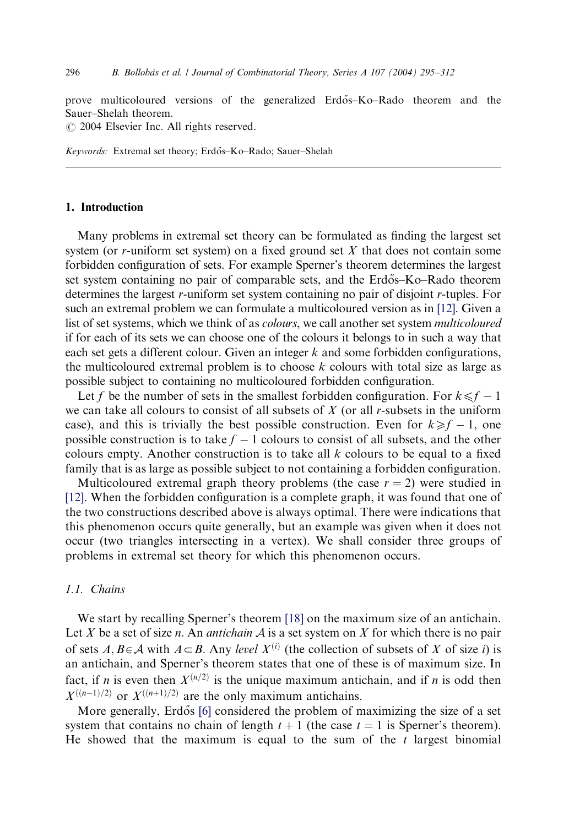prove multicoloured versions of the generalized Erdős–Ko–Rado theorem and the Sauer–Shelah theorem.

 $\odot$  2004 Elsevier Inc. All rights reserved.

Keywords: Extremal set theory; Erdős–Ko–Rado; Sauer–Shelah

#### 1. Introduction

Many problems in extremal set theory can be formulated as finding the largest set system (or r-uniform set system) on a fixed ground set  $X$  that does not contain some forbidden configuration of sets. For example Sperner's theorem determines the largest set system containing no pair of comparable sets, and the Erdős–Ko–Rado theorem determines the largest r-uniform set system containing no pair of disjoint r-tuples. For such an extremal problem we can formulate a multicoloured version as in [\[12\].](#page-17-0) Given a list of set systems, which we think of as colours, we call another set system multicoloured if for each of its sets we can choose one of the colours it belongs to in such a way that each set gets a different colour. Given an integer  $k$  and some forbidden configurations, the multicoloured extremal problem is to choose  $k$  colours with total size as large as possible subject to containing no multicoloured forbidden configuration.

Let f be the number of sets in the smallest forbidden configuration. For  $k \leq f - 1$ we can take all colours to consist of all subsets of  $X$  (or all r-subsets in the uniform case), and this is trivially the best possible construction. Even for  $k \ge f - 1$ , one possible construction is to take  $f - 1$  colours to consist of all subsets, and the other colours empty. Another construction is to take all  $k$  colours to be equal to a fixed family that is as large as possible subject to not containing a forbidden configuration.

Multicoloured extremal graph theory problems (the case  $r = 2$ ) were studied in [\[12\]](#page-17-0). When the forbidden configuration is a complete graph, it was found that one of the two constructions described above is always optimal. There were indications that this phenomenon occurs quite generally, but an example was given when it does not occur (two triangles intersecting in a vertex). We shall consider three groups of problems in extremal set theory for which this phenomenon occurs.

### 1.1. Chains

We start by recalling Sperner's theorem [\[18\]](#page-17-0) on the maximum size of an antichain. Let X be a set of size n. An *antichain*  $\mathcal A$  is a set system on X for which there is no pair of sets  $A, B \in \mathcal{A}$  with  $A \subseteq B$ . Any level  $X^{(i)}$  (the collection of subsets of X of size i) is an antichain, and Sperner's theorem states that one of these is of maximum size. In fact, if n is even then  $X^{(n/2)}$  is the unique maximum antichain, and if n is odd then  $X^{((n-1)/2)}$  or  $X^{((n+1)/2)}$  are the only maximum antichains.

More generally, Erdős [\[6\]](#page-16-0) considered the problem of maximizing the size of a set system that contains no chain of length  $t + 1$  (the case  $t = 1$  is Sperner's theorem). He showed that the maximum is equal to the sum of the  $t$  largest binomial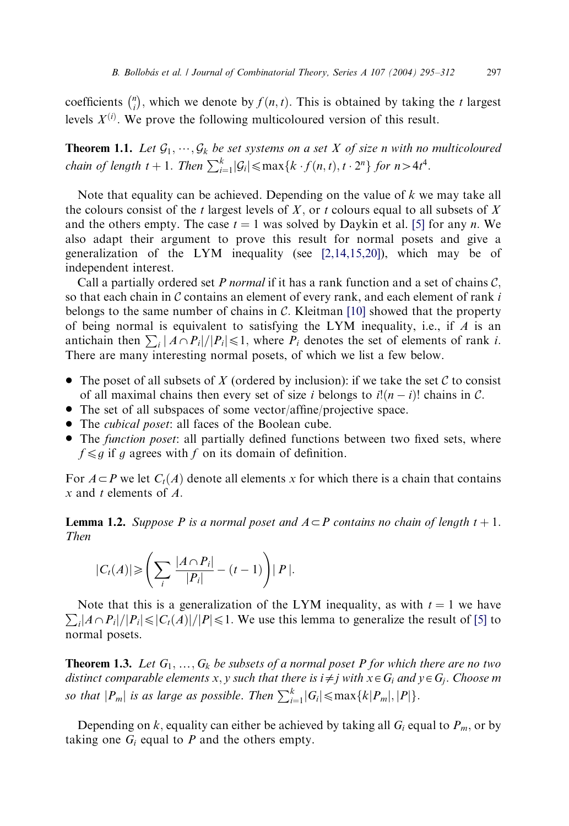coefficients  $\binom{n}{i}$  $\binom{n}{i}$ , which we denote by  $f(n, t)$ . This is obtained by taking the t largest levels  $X^{(i)}$ . We prove the following multicoloured version of this result.

**Theorem 1.1.** Let  $\mathcal{G}_1, \dots, \mathcal{G}_k$  be set systems on a set X of size n with no multicoloured chain of length  $t + 1$ . Then  $\sum_{i=1}^{k} |G_i| \leq \max\{k \cdot f(n, t), t \cdot 2^n\}$  for  $n > 4t^4$ .

Note that equality can be achieved. Depending on the value of  $k$  we may take all the colours consist of the t largest levels of X, or t colours equal to all subsets of X and the others empty. The case  $t = 1$  was solved by Daykin et al. [\[5\]](#page-16-0) for any n. We also adapt their argument to prove this result for normal posets and give a generalization of the LYM inequality (see  $[2,14,15,20]$ ), which may be of independent interest.

Call a partially ordered set  $P$  normal if it has a rank function and a set of chains  $C$ , so that each chain in  $\mathcal C$  contains an element of every rank, and each element of rank  $i$ belongs to the same number of chains in  $C$ . Kleitman [\[10\]](#page-17-0) showed that the property of being normal is equivalent to satisfying the LYM inequality, i.e., if  $\vec{A}$  is an antichain then  $\sum_i |A \cap P_i|/|P_i| \le 1$ , where  $P_i$  denotes the set of elements of rank i. There are many interesting normal posets, of which we list a few below.

- The poset of all subsets of X (ordered by inclusion): if we take the set C to consist of all maximal chains then every set of size i belongs to  $i!(n - i)!$  chains in C.
- $\bullet$  The set of all subspaces of some vector/affine/projective space.
- The *cubical poset*: all faces of the Boolean cube.
- The function poset: all partially defined functions between two fixed sets, where  $f \leq g$  if g agrees with f on its domain of definition.

For  $A \subseteq P$  we let  $C_t(A)$  denote all elements x for which there is a chain that contains  $x$  and  $t$  elements of  $A$ .

**Lemma 1.2.** Suppose P is a normal poset and  $A \subseteq P$  contains no chain of length  $t + 1$ . Then

$$
|C_t(A)| \geqslant \left(\sum_i \frac{|A \cap P_i|}{|P_i|} - (t-1)\right) |P|.
$$

 $\sum_{i} |A \cap P_i|/|P_i| \leq |C_i(A)|/|P| \leq 1$ . We use this lemma to generalize the result of [\[5\]](#page-16-0) to Note that this is a generalization of the LYM inequality, as with  $t = 1$  we have normal posets.

**Theorem 1.3.** Let  $G_1, ..., G_k$  be subsets of a normal poset P for which there are no two distinct comparable elements x, y such that there is  $i \neq j$  with  $x \in G_i$  and  $y \in G_j$ . Choose m so that  $|P_m|$  is as large as possible. Then  $\sum_{i=1}^k |G_i| \leq \max\{k|P_m|, |P|\}.$ 

Depending on k, equality can either be achieved by taking all  $G_i$  equal to  $P_m$ , or by taking one  $G_i$  equal to P and the others empty.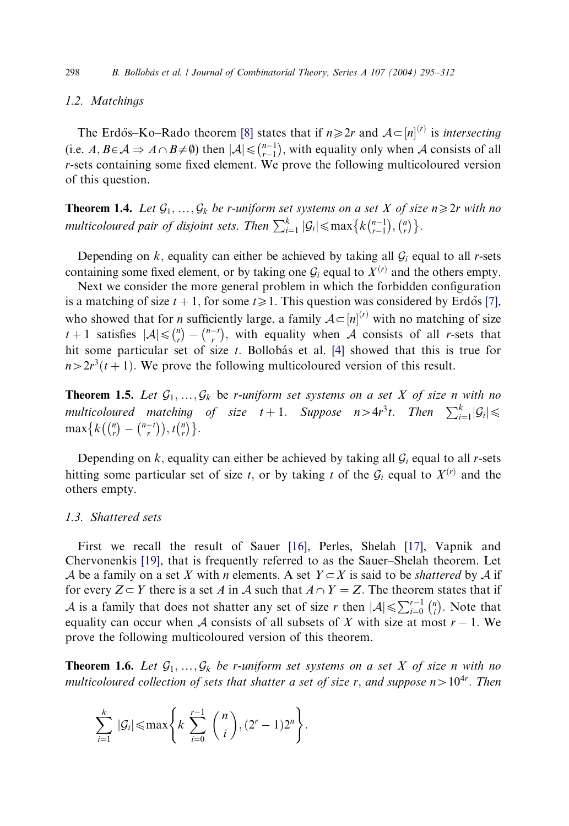#### 1.2. Matchings

The Erdős–Ko–Rado theorem [\[8\]](#page-17-0) states that if  $n \geq 2r$  and  $A \subset [n]^{(r)}$  is *intersecting* (i.e.  $A, B \in \mathcal{A} \Rightarrow A \cap B \neq \emptyset$ ) then  $|\mathcal{A}| \leq {n-1 \choose r-1}$  $\binom{n-1}{r-1}$ , with equality only when A consists of all r-sets containing some fixed element. We prove the following multicoloured version of this question.

**Theorem 1.4.** Let  $\mathcal{G}_1,\ldots,\mathcal{G}_k$  be r-uniform set systems on a set X of size  $n\geq 2r$  with no multicoloured pair of disjoint sets. Then  $\sum_{i=1}^{k} |\mathcal{G}_i| \leq \max \big\{ k {n-1 \choose r-1}$  $\binom{n-1}{r-1}, \binom{n}{r}$  $\{k\binom{n-1}{r-1}, \binom{n}{r}\}.$ 

Depending on  $k$ , equality can either be achieved by taking all  $\mathcal{G}_i$  equal to all r-sets containing some fixed element, or by taking one  $G_i$  equal to  $X^{(r)}$  and the others empty.

Next we consider the more general problem in which the forbidden configuration is a matching of size  $t + 1$ , for some  $t \ge 1$ . This question was considered by Erdős [\[7\],](#page-16-0) who showed that for *n* sufficiently large, a family  $A \subset [n]^{(r)}$  with no matching of size  $t + 1$  satisfies  $|\mathcal{A}| \leq {n \choose r}$  $\binom{n}{r} - \binom{n-t}{r}$  $\binom{n-1}{r}$ , with equality when A consists of all r-sets that hit some particular set of size  $t$ . Bollobás et al. [\[4\]](#page-16-0) showed that this is true for  $n>2r^3(t + 1)$ . We prove the following multicoloured version of this result.

**Theorem 1.5.** Let  $\mathcal{G}_1, ..., \mathcal{G}_k$  be r-uniform set systems on a set X of size n with no multicoloured matching of size  $t + 1$ . Suppose  $n > 4r^3t$ . Then  $\sum_{i=1}^{k} |G_i| \leq$  $\max\{k(\binom{n}{r})\}$  $\binom{n}{r}$  -  $\binom{n-t}{r}$  $\binom{n}{r} = \binom{n-t}{r}, t \binom{n}{r}$  $\{k\binom{n}{r} - \binom{n-t}{r}, t\binom{n}{r}\}.$ 

Depending on  $k$ , equality can either be achieved by taking all  $\mathcal{G}_i$  equal to all r-sets hitting some particular set of size t, or by taking t of the  $G_i$  equal to  $X<sup>(r)</sup>$  and the others empty.

## 1.3. Shattered sets

First we recall the result of Sauer [\[16\],](#page-17-0) Perles, Shelah [\[17\]](#page-17-0), Vapnik and Chervonenkis [\[19\],](#page-17-0) that is frequently referred to as the Sauer–Shelah theorem. Let A be a family on a set X with n elements. A set  $Y \subset X$  is said to be *shattered* by A if for every  $Z \subset Y$  there is a set A in A such that  $A \cap Y = Z$ . The theorem states that if A is a family that does not shatter any set of size r then  $|A| \le \sum_{i=0}^{r-1} {n \choose i}$  $\binom{n}{i}$ . Note that equality can occur when A consists of all subsets of X with size at most  $r - 1$ . We prove the following multicoloured version of this theorem.

**Theorem 1.6.** Let  $\mathcal{G}_1, ..., \mathcal{G}_k$  be r-uniform set systems on a set X of size n with no multicoloured collection of sets that shatter a set of size r, and suppose  $n>10^{4r}$ . Then

$$
\sum_{i=1}^k |\mathcal{G}_i| \le \max\left\{k \sum_{i=0}^{r-1} {n \choose i}, (2^r-1)2^n\right\}.
$$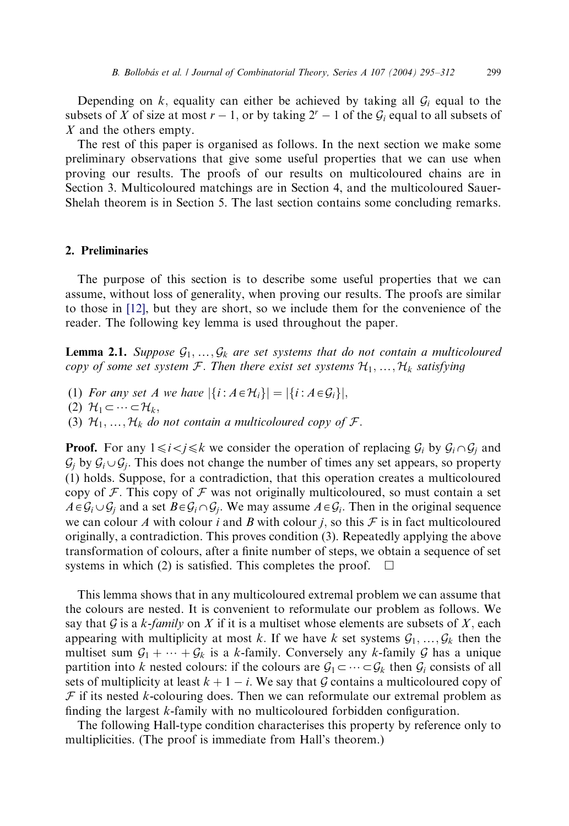Depending on  $k$ , equality can either be achieved by taking all  $\mathcal{G}_i$  equal to the subsets of X of size at most  $r-1$ , or by taking  $2^r-1$  of the  $\mathcal{G}_i$  equal to all subsets of X and the others empty.

The rest of this paper is organised as follows. In the next section we make some preliminary observations that give some useful properties that we can use when proving our results. The proofs of our results on multicoloured chains are in Section 3. Multicoloured matchings are in Section 4, and the multicoloured Sauer-Shelah theorem is in Section 5. The last section contains some concluding remarks.

#### 2. Preliminaries

The purpose of this section is to describe some useful properties that we can assume, without loss of generality, when proving our results. The proofs are similar to those in [\[12\],](#page-17-0) but they are short, so we include them for the convenience of the reader. The following key lemma is used throughout the paper.

**Lemma 2.1.** Suppose  $\mathcal{G}_1, ..., \mathcal{G}_k$  are set systems that do not contain a multicoloured copy of some set system  $\mathcal{F}$ . Then there exist set systems  $\mathcal{H}_1, ..., \mathcal{H}_k$  satisfying

- (1) For any set A we have  $|\{i : A \in \mathcal{H}_i\}| = |\{i : A \in \mathcal{G}_i\}|$ ,
- (2)  $\mathcal{H}_1 \subset \cdots \subset \mathcal{H}_k$
- (3)  $\mathcal{H}_1, \ldots, \mathcal{H}_k$  do not contain a multicoloured copy of  $\mathcal{F}.$

**Proof.** For any  $1 \le i < j \le k$  we consider the operation of replacing  $\mathcal{G}_i$  by  $\mathcal{G}_i \cap \mathcal{G}_j$  and  $\mathcal{G}_i$  by  $\mathcal{G}_i \cup \mathcal{G}_i$ . This does not change the number of times any set appears, so property (1) holds. Suppose, for a contradiction, that this operation creates a multicoloured copy of  $\mathcal F$ . This copy of  $\mathcal F$  was not originally multicoloured, so must contain a set  $A \in \mathcal{G}_i \cup \mathcal{G}_i$  and a set  $B \in \mathcal{G}_i \cap \mathcal{G}_i$ . We may assume  $A \in \mathcal{G}_i$ . Then in the original sequence we can colour A with colour i and B with colour i, so this  $\mathcal F$  is in fact multicoloured originally, a contradiction. This proves condition (3). Repeatedly applying the above transformation of colours, after a finite number of steps, we obtain a sequence of set systems in which (2) is satisfied. This completes the proof.  $\Box$ 

This lemma shows that in any multicoloured extremal problem we can assume that the colours are nested. It is convenient to reformulate our problem as follows. We say that G is a k-family on X if it is a multiset whose elements are subsets of X, each appearing with multiplicity at most k. If we have k set systems  $\mathcal{G}_1, \ldots, \mathcal{G}_k$  then the multiset sum  $G_1 + \cdots + G_k$  is a k-family. Conversely any k-family G has a unique partition into k nested colours: if the colours are  $\mathcal{G}_1 \subset \cdots \subset \mathcal{G}_k$  then  $\mathcal{G}_i$  consists of all sets of multiplicity at least  $k + 1 - i$ . We say that G contains a multicoloured copy of  $F$  if its nested k-colouring does. Then we can reformulate our extremal problem as finding the largest k-family with no multicoloured forbidden configuration.

The following Hall-type condition characterises this property by reference only to multiplicities. (The proof is immediate from Hall's theorem.)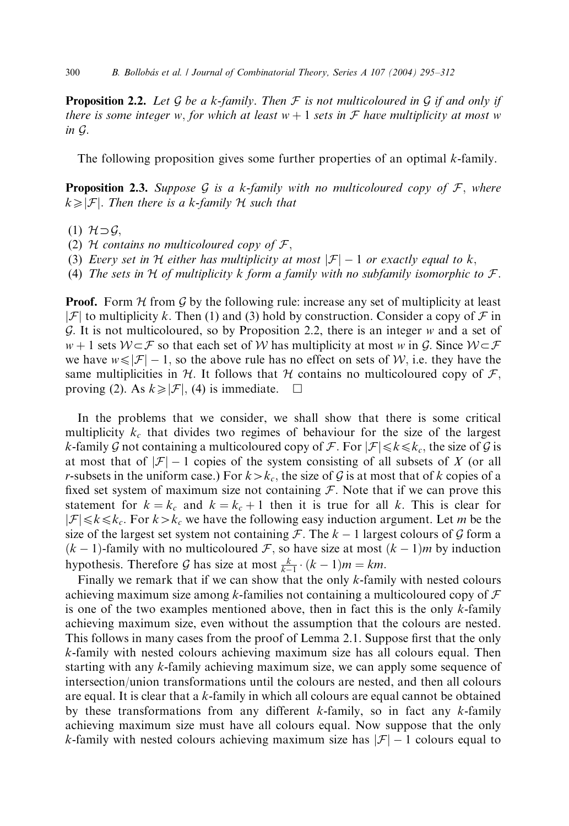**Proposition 2.2.** Let G be a k-family. Then F is not multicoloured in G if and only if there is some integer w, for which at least  $w + 1$  sets in  $\mathcal F$  have multiplicity at most w in G:

The following proposition gives some further properties of an optimal k-family.

**Proposition 2.3.** Suppose G is a k-family with no multicoloured copy of  $\mathcal{F}$ , where  $k \geq |\mathcal{F}|$ . Then there is a k-family H such that

- (1)  $H \supset G$ ,
- (2) H contains no multicoloured copy of  $\mathcal{F}$ ,
- (3) Every set in H either has multiplicity at most  $|\mathcal{F}| 1$  or exactly equal to k,
- (4) The sets in H of multiplicity k form a family with no subfamily isomorphic to  $\mathcal{F}$ .

**Proof.** Form H from G by the following rule: increase any set of multiplicity at least  $|\mathcal{F}|$  to multiplicity k. Then (1) and (3) hold by construction. Consider a copy of  $\mathcal{F}$  in G. It is not multicoloured, so by Proposition 2.2, there is an integer  $w$  and a set of  $w + 1$  sets  $W \subset \mathcal{F}$  so that each set of W has multiplicity at most w in G. Since  $W \subset \mathcal{F}$ we have  $w \le |\mathcal{F}| - 1$ , so the above rule has no effect on sets of W, i.e. they have the same multiplicities in H. It follows that H contains no multicoloured copy of  $\mathcal{F}$ , proving (2). As  $k \ge |\mathcal{F}|$ , (4) is immediate.  $\Box$ 

In the problems that we consider, we shall show that there is some critical multiplicity  $k_c$  that divides two regimes of behaviour for the size of the largest k-family G not containing a multicoloured copy of F. For  $|\mathcal{F}| \leq k \leq k_c$ , the size of G is at most that of  $|\mathcal{F}| - 1$  copies of the system consisting of all subsets of X (or all r-subsets in the uniform case.) For  $k > k_c$ , the size of G is at most that of k copies of a fixed set system of maximum size not containing  $\mathcal F$ . Note that if we can prove this statement for  $k = k_c$  and  $k = k_c + 1$  then it is true for all k. This is clear for  $|\mathcal{F}| \le k \le k_c$ . For  $k > k_c$  we have the following easy induction argument. Let m be the size of the largest set system not containing  $\mathcal{F}$ . The  $k - 1$  largest colours of  $\mathcal G$  form a  $(k-1)$ -family with no multicoloured  $\mathcal F$ , so have size at most  $(k-1)m$  by induction hypothesis. Therefore  $\mathcal G$  has size at most  $\frac{k}{k-1} \cdot (k-1)m = km$ .

Finally we remark that if we can show that the only  $k$ -family with nested colours achieving maximum size among k-families not containing a multicoloured copy of  $\mathcal F$ is one of the two examples mentioned above, then in fact this is the only  $k$ -family achieving maximum size, even without the assumption that the colours are nested. This follows in many cases from the proof of Lemma 2.1. Suppose first that the only k-family with nested colours achieving maximum size has all colours equal. Then starting with any k-family achieving maximum size, we can apply some sequence of intersection/union transformations until the colours are nested, and then all colours are equal. It is clear that a  $k$ -family in which all colours are equal cannot be obtained by these transformations from any different  $k$ -family, so in fact any  $k$ -family achieving maximum size must have all colours equal. Now suppose that the only k-family with nested colours achieving maximum size has  $|\mathcal{F}| - 1$  colours equal to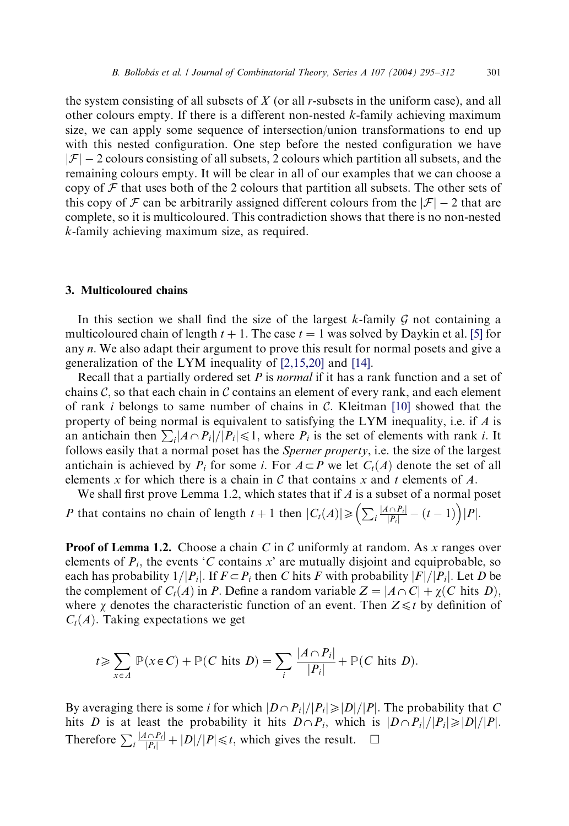the system consisting of all subsets of  $X$  (or all r-subsets in the uniform case), and all other colours empty. If there is a different non-nested k-family achieving maximum size, we can apply some sequence of intersection/union transformations to end up with this nested configuration. One step before the nested configuration we have  $|\mathcal{F}| - 2$  colours consisting of all subsets, 2 colours which partition all subsets, and the remaining colours empty. It will be clear in all of our examples that we can choose a copy of  $\mathcal F$  that uses both of the 2 colours that partition all subsets. The other sets of this copy of  $\mathcal F$  can be arbitrarily assigned different colours from the  $|\mathcal F| - 2$  that are complete, so it is multicoloured. This contradiction shows that there is no non-nested k-family achieving maximum size, as required.

## 3. Multicoloured chains

In this section we shall find the size of the largest  $k$ -family  $G$  not containing a multicoloured chain of length  $t + 1$ . The case  $t = 1$  was solved by Daykin et al. [\[5\]](#page-16-0) for any *n*. We also adapt their argument to prove this result for normal posets and give a generalization of the LYM inequality of [\[2,15,20\]](#page-16-0) and [\[14\].](#page-17-0)

Recall that a partially ordered set  $P$  is *normal* if it has a rank function and a set of chains  $\mathcal{C}$ , so that each chain in  $\mathcal{C}$  contains an element of every rank, and each element of rank *i* belongs to same number of chains in C. Kleitman [\[10\]](#page-17-0) showed that the property of being normal is equivalent to satisfying the LYM inequality, i.e. if  $\Lambda$  is an antichain then  $\sum_i |A \cap P_i|/|P_i| \le 1$ , where  $P_i$  is the set of elements with rank *i*. It follows easily that a normal poset has the Sperner property, i.e. the size of the largest antichain is achieved by  $P_i$  for some i. For  $A \subset P$  we let  $C_i(A)$  denote the set of all elements x for which there is a chain in C that contains x and t elements of A.

We shall first prove Lemma 1.2, which states that if  $A$  is a subset of a normal poset P that contains no chain of length  $t + 1$  then  $|C_t(A)| \geq (\sum_i \frac{|A \cap P_i|}{|P_i|} - (t-1)) |P|$ .

**Proof of Lemma 1.2.** Choose a chain C in C uniformly at random. As x ranges over elements of  $P_i$ , the events 'C contains x' are mutually disjoint and equiprobable, so each has probability  $1/|P_i|$ . If  $F \subset P_i$  then C hits F with probability  $|F|/|P_i|$ . Let D be the complement of  $C_t(A)$  in P. Define a random variable  $Z = |A \cap C| + \chi(C$  hits D), where  $\chi$  denotes the characteristic function of an event. Then  $Z \leq t$  by definition of  $C_t(A)$ . Taking expectations we get

$$
t \ge \sum_{x \in A} \mathbb{P}(x \in C) + \mathbb{P}(C \text{ hits } D) = \sum_{i} \frac{|A \cap P_i|}{|P_i|} + \mathbb{P}(C \text{ hits } D).
$$

By averaging there is some i for which  $|D \cap P_i|/|P_i| \geq |D|/|P|$ . The probability that C hits D is at least the probability it hits  $D \cap P_i$ , which is  $|D \cap P_i|/|P_i| \ge |D|/|P|$ . Therefore  $\sum_{i} \frac{|A \cap P_i|}{|P_i|} + |D|/|P| \le t$ , which gives the result.  $\square$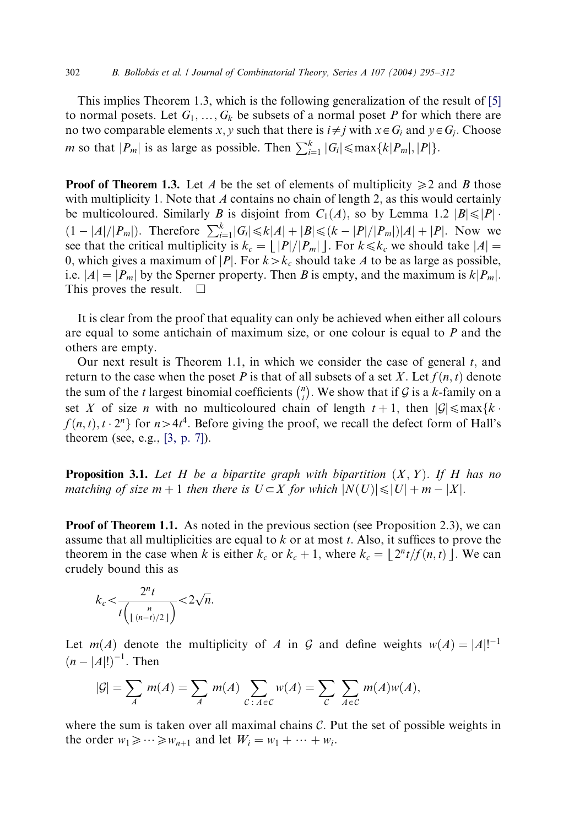This implies Theorem 1.3, which is the following generalization of the result of [\[5\]](#page-16-0) to normal posets. Let  $G_1,\ldots, G_k$  be subsets of a normal poset P for which there are no two comparable elements x, y such that there is  $i \neq j$  with  $x \in G_i$  and  $y \in G_j$ . Choose *m* so that  $|P_m|$  is as large as possible. Then  $\sum_{i=1}^{k} |G_i| \le \max\{k|P_m|, |P|\}.$ 

**Proof of Theorem 1.3.** Let A be the set of elements of multiplicity  $\geq 2$  and B those with multiplicity 1. Note that  $\vec{A}$  contains no chain of length 2, as this would certainly be multicoloured. Similarly B is disjoint from  $C_1(A)$ , so by Lemma 1.2  $|B| \leq |P|$ .  $(1 - |A|/|P_m|)$ . Therefore  $\sum_{i=1}^{k} |G_i| \le k|A| + |B| \le (k - |P|/|P_m|)|A| + |P|$ . Now we see that the critical multiplicity is  $k_c = |p|/|P_m|$ . For  $k \leq k_c$  we should take  $|A| =$ 0, which gives a maximum of |P|. For  $k > k_c$  should take A to be as large as possible, i.e.  $|A| = |P_m|$  by the Sperner property. Then B is empty, and the maximum is  $k|P_m|$ . This proves the result.  $\Box$ 

It is clear from the proof that equality can only be achieved when either all colours are equal to some antichain of maximum size, or one colour is equal to P and the others are empty.

Our next result is Theorem 1.1, in which we consider the case of general  $t$ , and return to the case when the poset P is that of all subsets of a set X. Let  $f(n, t)$  denote the sum of the *t* largest binomial coefficients  $\binom{n}{i}$  $\binom{n}{i}$ . We show that if G is a k-family on a set X of size *n* with no multicoloured chain of length  $t + 1$ , then  $|\mathcal{G}| \leq \max\{k \cdot \mathcal{G}(\mathcal{G}) | \mathcal{G}| \leq k\}$  $f(n, t), t \cdot 2^n$  for  $n > 4t^4$ . Before giving the proof, we recall the defect form of Hall's theorem (see, e.g., [\[3, p. 7\]\)](#page-16-0).

**Proposition 3.1.** Let H be a bipartite graph with bipartition  $(X, Y)$ . If H has no matching of size  $m + 1$  then there is  $U \subset X$  for which  $|N(U)| \leq |U| + m - |X|$ .

**Proof of Theorem 1.1.** As noted in the previous section (see Proposition 2.3), we can assume that all multiplicities are equal to  $k$  or at most  $t$ . Also, it suffices to prove the theorem in the case when k is either  $k_c$  or  $k_c + 1$ , where  $k_c = \frac{2^n t}{f(n, t)}$ . We can crudely bound this as

$$
k_c < \frac{2^n t}{t\binom{n}{\lfloor (n-t)/2 \rfloor}} < 2\sqrt{n}.
$$

Let  $m(A)$  denote the multiplicity of A in G and define weights  $w(A) = |A|!^{-1}$  $(n - |A|!)^{-1}$ . Then

$$
|\mathcal{G}| = \sum_{A} m(A) = \sum_{A} m(A) \sum_{C \colon A \in \mathcal{C}} w(A) = \sum_{C} \sum_{A \in \mathcal{C}} m(A) w(A),
$$

where the sum is taken over all maximal chains  $C$ . Put the set of possible weights in the order  $w_1 \geqslant \cdots \geqslant w_{n+1}$  and let  $W_i = w_1 + \cdots + w_i$ .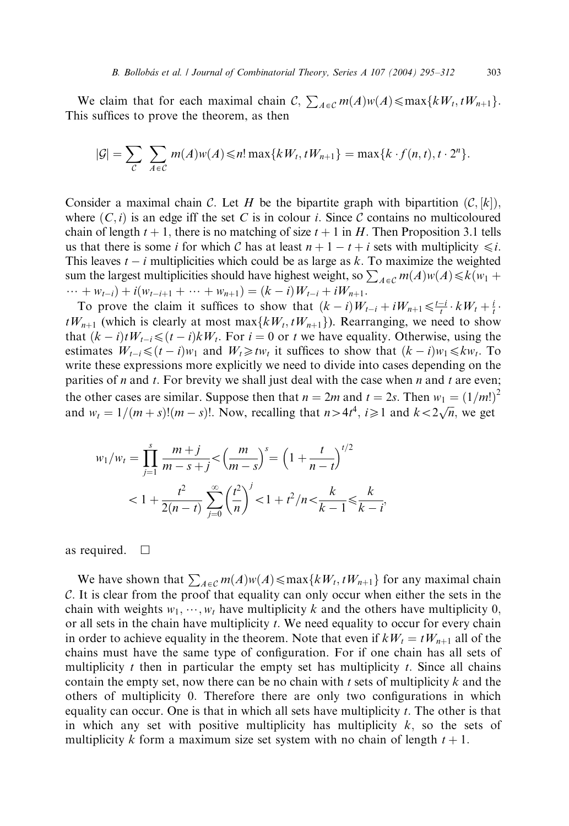We claim that for each maximal chain  $C$ ,  $\sum_{A \in \mathcal{C}} m(A)w(A) \leq \max\{kW_t, tW_{n+1}\}.$ This suffices to prove the theorem, as then

$$
|\mathcal{G}|=\sum_{\mathcal{C}}\sum_{A\in\mathcal{C}}m(A)w(A)\leq n!\max\{kW_t,tW_{n+1}\}=\max\{k\cdot f(n,t),t\cdot 2^n\}.
$$

Consider a maximal chain C. Let H be the bipartite graph with bipartition  $(C, [k])$ , where  $(C, i)$  is an edge iff the set C is in colour i. Since C contains no multicoloured chain of length  $t + 1$ , there is no matching of size  $t + 1$  in H. Then Proposition 3.1 tells us that there is some i for which C has at least  $n + 1 - t + i$  sets with multiplicity  $\leq i$ . This leaves  $t - i$  multiplicities which could be as large as k. To maximize the weighted sum the largest multiplicities should have highest weight, so  $\sum_{A \in \mathcal{C}} m(A)w(A) \le k(w_1 +$  $\cdots + w_{t-i}$ ) +  $i(w_{t-i+1} + \cdots + w_{n+1}) = (k-i)W_{t-i} + iW_{n+1}.$ 

To prove the claim it suffices to show that  $(k - i)W_{t-i} + iW_{n+1} \leq \frac{t-i}{t} \cdot kW_t + \frac{i}{t}$ .  $tW_{n+1}$  (which is clearly at most max $\{kW_t, tW_{n+1}\}$ ). Rearranging, we need to show that  $(k - i)tW_{t-i} \leq (t - i)kW_t$ . For  $i = 0$  or t we have equality. Otherwise, using the estimates  $W_{t-i} \leq (t-i)w_1$  and  $W_t \geq tw_t$  it suffices to show that  $(k-i)w_1 \leq kw_t$ . To write these expressions more explicitly we need to divide into cases depending on the parities of n and t. For brevity we shall just deal with the case when n and t are even; the other cases are similar. Suppose then that  $n = 2m$  and  $t = 2s$ . Then  $w_1 = (1/m!)^2$ and  $w_t = 1/(m + s)!(m - s)!$ . Now, recalling that  $n > 4t^4$ ,  $i \ge 1$  and  $k < 2\sqrt{n}$ , we get

;

$$
w_1/w_t = \prod_{j=1}^s \frac{m+j}{m-s+j} < \left(\frac{m}{m-s}\right)^s = \left(1 + \frac{t}{n-t}\right)^{t/2} \n< 1 + \frac{t^2}{2(n-t)} \sum_{j=0}^\infty \left(\frac{t^2}{n}\right)^j < 1 + t^2/n < \frac{k}{k-1} \le \frac{k}{k-t}
$$

as required.  $\square$ 

We have shown that  $\sum_{A \in \mathcal{C}} m(A)w(A) \leq \max\{kW_t, tW_{n+1}\}$  for any maximal chain C: It is clear from the proof that equality can only occur when either the sets in the chain with weights  $w_1, \dots, w_t$  have multiplicity k and the others have multiplicity 0, or all sets in the chain have multiplicity t. We need equality to occur for every chain in order to achieve equality in the theorem. Note that even if  $kW_t = tW_{n+1}$  all of the chains must have the same type of configuration. For if one chain has all sets of multiplicity  $t$  then in particular the empty set has multiplicity  $t$ . Since all chains contain the empty set, now there can be no chain with  $t$  sets of multiplicity  $k$  and the others of multiplicity 0: Therefore there are only two configurations in which equality can occur. One is that in which all sets have multiplicity  $t$ . The other is that in which any set with positive multiplicity has multiplicity  $k$ , so the sets of multiplicity k form a maximum size set system with no chain of length  $t + 1$ .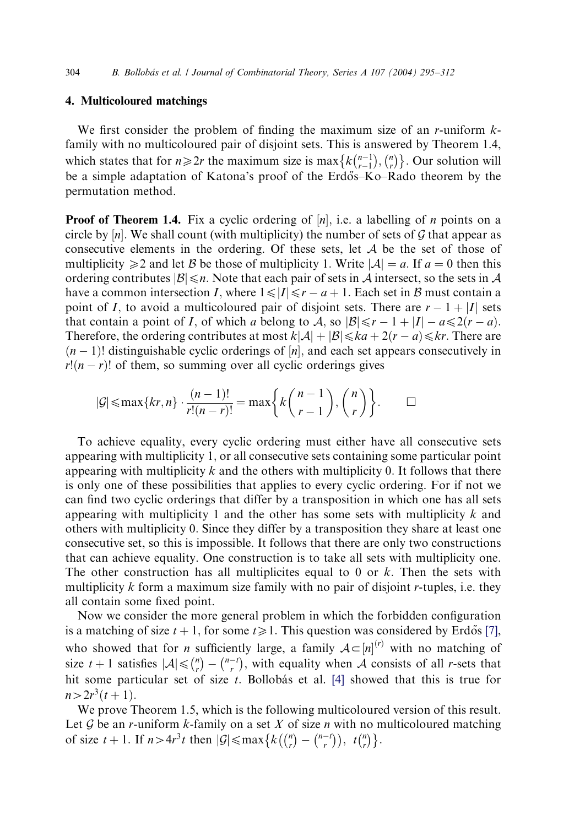## 4. Multicoloured matchings

We first consider the problem of finding the maximum size of an r-uniform  $k$ family with no multicoloured pair of disjoint sets. This is answered by Theorem 1.4, which states that for  $n \ge 2r$  the maximum size is max  $\left\{ k \binom{n-1}{r-1} \right\}$  $\binom{n-1}{r-1}, \binom{n}{r}$  $\{k\binom{n-1}{r-1}, \binom{n}{r}\}\$ . Our solution will be a simple adaptation of Katona's proof of the Erdős–Ko–Rado theorem by the permutation method.

**Proof of Theorem 1.4.** Fix a cyclic ordering of  $[n]$ , i.e. a labelling of n points on a circle by  $[n]$ . We shall count (with multiplicity) the number of sets of G that appear as consecutive elements in the ordering. Of these sets, let  $A$  be the set of those of multiplicity  $\geq 2$  and let B be those of multiplicity 1. Write  $|\mathcal{A}| = a$ . If  $a = 0$  then this ordering contributes  $|\mathcal{B}| \leq n$ . Note that each pair of sets in A intersect, so the sets in A have a common intersection I, where  $1 \le |I| \le r - a + 1$ . Each set in B must contain a point of I, to avoid a multicoloured pair of disjoint sets. There are  $r - 1 + |I|$  sets that contain a point of I, of which a belong to A, so  $|\mathcal{B}| \le r - 1 + |I| - a \le 2(r - a)$ . Therefore, the ordering contributes at most  $k|\mathcal{A}| + |\mathcal{B}| \leq k a + 2(r - a) \leq k r$ . There are  $(n-1)!$  distinguishable cyclic orderings of  $[n]$ , and each set appears consecutively in  $r!(n - r)!$  of them, so summing over all cyclic orderings gives

$$
|\mathcal{G}| \le \max\{kr, n\} \cdot \frac{(n-1)!}{r!(n-r)!} = \max\bigg\{k\binom{n-1}{r-1}, \binom{n}{r}\bigg\}.
$$

To achieve equality, every cyclic ordering must either have all consecutive sets appearing with multiplicity 1; or all consecutive sets containing some particular point appearing with multiplicity  $k$  and the others with multiplicity 0. It follows that there is only one of these possibilities that applies to every cyclic ordering. For if not we can find two cyclic orderings that differ by a transposition in which one has all sets appearing with multiplicity 1 and the other has some sets with multiplicity  $k$  and others with multiplicity 0: Since they differ by a transposition they share at least one consecutive set, so this is impossible. It follows that there are only two constructions that can achieve equality. One construction is to take all sets with multiplicity one. The other construction has all multiplicites equal to 0 or  $k$ . Then the sets with multiplicity  $k$  form a maximum size family with no pair of disjoint r-tuples, i.e. they all contain some fixed point.

Now we consider the more general problem in which the forbidden configuration is a matching of size  $t + 1$ , for some  $t \ge 1$ . This question was considered by Erdős [\[7\],](#page-16-0) who showed that for *n* sufficiently large, a family  $A \subset [n]^{(r)}$  with no matching of size  $t + 1$  satisfies  $|\mathcal{A}| \leq \binom{n}{r}$  $\binom{n}{r} - \binom{n-t}{r}$  $\binom{n-1}{r}$ , with equality when A consists of all *r*-sets that hit some particular set of size  $t$ . Bollobás et al. [\[4\]](#page-16-0) showed that this is true for  $n>2r^3(t+1)$ .

We prove Theorem 1.5, which is the following multicoloured version of this result. Let  $G$  be an *r*-uniform *k*-family on a set  $X$  of size  $n$  with no multicoloured matching of size  $t + 1$ . If  $n > 4r^3t$  then  $|\mathcal{G}| \le \max\left\{k \left(\binom{n}{r}\right)\right\}$  $\binom{n}{r} - \binom{n-t}{r}$  $\binom{n}{r} - \binom{n-t}{r}, t \binom{n}{r}$  $\{k\binom{n}{r} - \binom{n-t}{r}, t\binom{n}{r}\}.$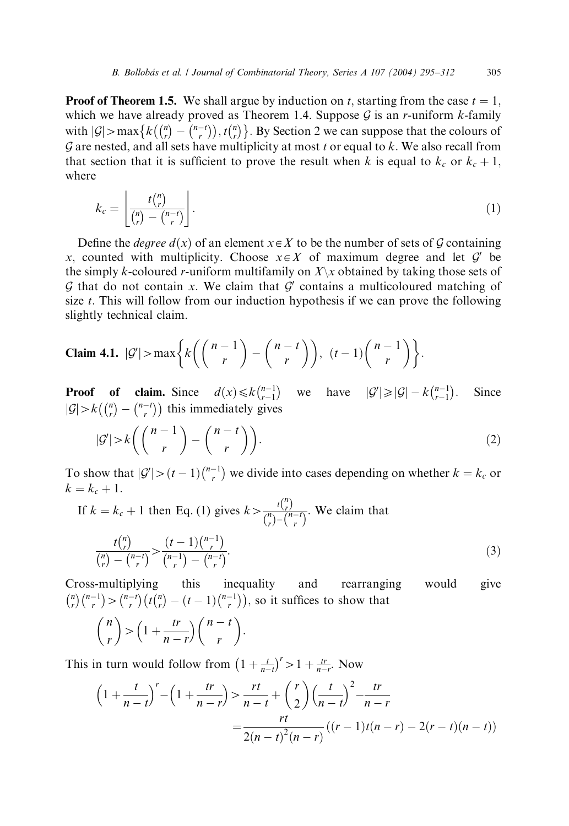**Proof of Theorem 1.5.** We shall argue by induction on t, starting from the case  $t = 1$ , which we have already proved as Theorem 1.4. Suppose  $G$  is an *r*-uniform *k*-family with  $|\mathcal{G}|$  > max  $\{k \binom{n}{r}$  $\binom{n}{r} - \binom{n-t}{r}$  $\begin{pmatrix} {n \choose r} - {n-t \choose r}, t {n \choose r} \end{pmatrix}$  $\{k\binom{n}{r} - \binom{n-r}{r}\}, t\binom{n}{r}\}$ . By Section 2 we can suppose that the colours of  $G$  are nested, and all sets have multiplicity at most t or equal to k. We also recall from that section that it is sufficient to prove the result when k is equal to  $k_c$  or  $k_c + 1$ . where

$$
k_c = \left\lfloor \frac{t\binom{n}{r}}{\binom{n}{r} - \binom{n-r}{r}} \right\rfloor. \tag{1}
$$

Define the *degree*  $d(x)$  of an element  $x \in X$  to be the number of sets of G containing x, counted with multiplicity. Choose  $x \in X$  of maximum degree and let  $\mathcal{G}'$  be the simply k-coloured r-uniform multifamily on  $X\setminus x$  obtained by taking those sets of G that do not contain x. We claim that  $G'$  contains a multicoloured matching of size  $t$ . This will follow from our induction hypothesis if we can prove the following slightly technical claim.

**Claim 4.1.** 
$$
|\mathcal{G}'|
$$
 > max $\left\{ k \left( \binom{n-1}{r} - \binom{n-t}{r} \right), (t-1) \binom{n-1}{r} \right\}.$ 

**Proof** of claim. Since  $d(x) \le k {n-1 \choose r-1}$  $\binom{n-1}{r-1}$  we have  $|\mathcal{G}'| \geq |\mathcal{G}| - k \binom{n-1}{r-1}$  $(n-1)$ Since  $|\mathcal{G}| > k\left(\binom{n}{r}\right)$  $\binom{n}{r} - \binom{n-t}{r}$  $\binom{n}{r} - \binom{n-r}{r}$  this immediately gives

$$
|\mathcal{G}'| > k\left(\binom{n-1}{r} - \binom{n-t}{r}\right). \tag{2}
$$

To show that  $|\mathcal{G}'| > (t-1)\binom{n-1}{r}$  $\binom{n-1}{r}$  we divide into cases depending on whether  $k = k_c$  or  $k = k_c + 1.$ 

If 
$$
k = k_c + 1
$$
 then Eq. (1) gives  $k > \frac{t\binom{n}{r}}{\binom{n}{r} - \binom{n-r}{r}}$ . We claim that\n
$$
\frac{t\binom{n}{r}}{\binom{n}{r} - \binom{n-r}{r}} > \frac{(t-1)\binom{n-1}{r}}{\binom{n-1}{r} - \binom{n-r}{r}}.
$$
\n(3)

Cross-multiplying this inequality and rearranging would give n r  $\binom{n}{r}\binom{n-1}{r}$  $\binom{n-1}{r}$  >  $\binom{n-t}{r}$  $\binom{n-t}{r}$  $\left(t\binom{n}{r}\right)$  $\binom{n}{r} - (t-1) \binom{n-1}{r}$  $(t_{r}^{(n)} - (t-1)\binom{n-1}{r}),$  so it suffices to show that

$$
\binom{n}{r} > \left(1 + \frac{tr}{n-r}\right)\binom{n-t}{r}.
$$

This in turn would follow from  $\left(1 + \frac{t}{n-t}\right)$  $\left(1 + \frac{t}{n-t}\right)^r > 1 + \frac{tr}{n-r}$ . Now

$$
\left(1 + \frac{t}{n-t}\right)^r - \left(1 + \frac{tr}{n-r}\right) > \frac{rt}{n-t} + \left(\frac{r}{2}\right)\left(\frac{t}{n-t}\right)^2 - \frac{tr}{n-r}
$$
\n
$$
= \frac{rt}{2(n-t)^2(n-r)}\left((r-1)t(n-r) - 2(r-t)(n-t)\right)
$$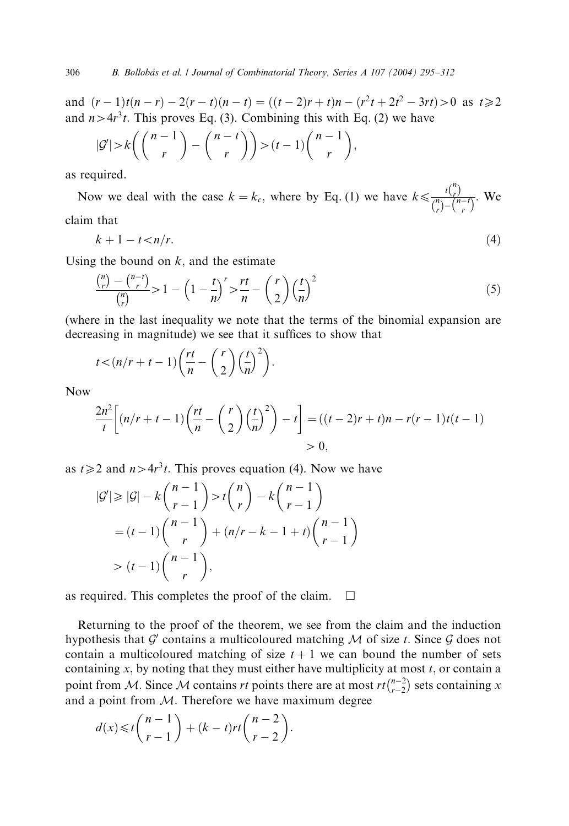and  $(r-1)t(n-r) - 2(r-t)(n-t) = ((t-2)r+t)n - (r^2t + 2t^2 - 3rt) > 0$  as  $t \ge 2$ and  $n>4r^3t$ . This proves Eq. (3). Combining this with Eq. (2) we have

$$
|\mathcal{G}'| > k\left(\binom{n-1}{r} - \binom{n-t}{r}\right) > (t-1)\binom{n-1}{r},
$$

as required.

Now we deal with the case  $k = k_c$ , where by Eq. (1) we have  $k \leq \frac{t \binom{n}{r}}{\binom{n}{r} - \binom{n-r}{r}}$  $\frac{r}{(n-t)}$ . We claim that

$$
k+1-t\lt n/r.\tag{4}
$$

Using the bound on  $k$ , and the estimate

$$
\frac{\binom{n}{r} - \binom{n-t}{r}}{\binom{n}{r}} > 1 - \left(1 - \frac{t}{n}\right)^r > \frac{rt}{n} - \binom{r}{2} \left(\frac{t}{n}\right)^2 \tag{5}
$$

(where in the last inequality we note that the terms of the binomial expansion are decreasing in magnitude) we see that it suffices to show that

$$
t < (n/r + t - 1)\left(\frac{rt}{n} - \binom{r}{2}\left(\frac{t}{n}\right)^2\right).
$$

Now

$$
\frac{2n^2}{t}\left[(n/r+t-1)\left(\frac{rt}{n}-\left(\frac{r}{2}\right)\left(\frac{t}{n}\right)^2\right)-t\right] = \left((t-2)r+t\right)n - r(r-1)t(t-1)
$$
  
> 0,

as  $t \geq 2$  and  $n>4r^3t$ . This proves equation (4). Now we have

$$
|G'| \ge |G| - k{n-1 \choose r-1} > t{n \choose r} - k{n-1 \choose r-1}
$$
  
=  $(t-1){n-1 \choose r} + (n/r - k - 1 + t){n-1 \choose r-1}$   
>  $(t-1){n-1 \choose r},$ 

as required. This completes the proof of the claim.  $\Box$ 

Returning to the proof of the theorem, we see from the claim and the induction hypothesis that G' contains a multicoloured matching  $M$  of size t. Since G does not contain a multicoloured matching of size  $t + 1$  we can bound the number of sets containing x, by noting that they must either have multiplicity at most  $t$ , or contain a point from M. Since M contains rt points there are at most  $rt_{r-2}^{n-2}$  $\binom{n-2}{r-2}$  sets containing x and a point from  $M$ . Therefore we have maximum degree

$$
d(x) \leq t \binom{n-1}{r-1} + (k-t)rt \binom{n-2}{r-2}.
$$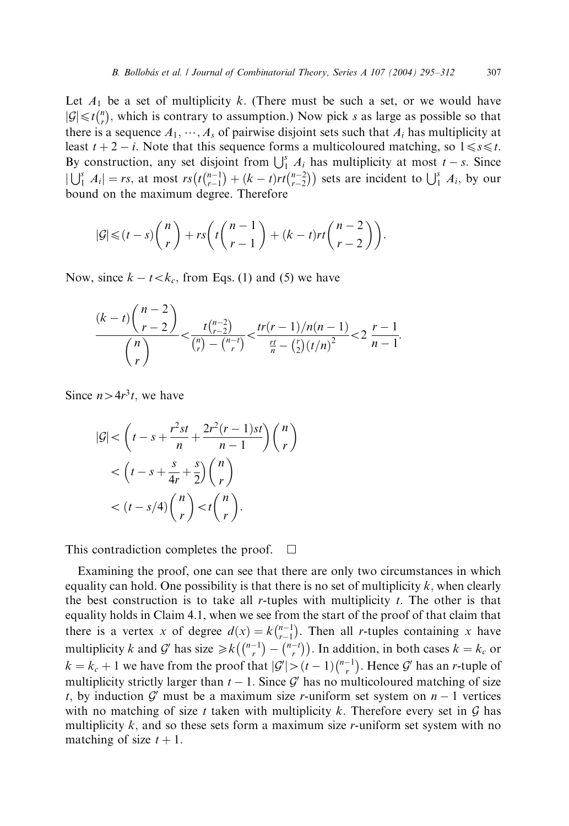Let  $A_1$  be a set of multiplicity k. (There must be such a set, or we would have  $|\mathcal{G}| \leq t \binom{n}{r}$  $\binom{n}{r}$ , which is contrary to assumption.) Now pick s as large as possible so that there is a sequence  $A_1$ ,  $\cdots$ ,  $A_s$  of pairwise disjoint sets such that  $A_i$  has multiplicity at least  $t + 2 - i$ . Note that this sequence forms a multicoloured matching, so  $1 \le s \le t$ . By construction, any set disjoint from  $\bigcup_{i=1}^{s} A_i$  has multiplicity at most  $t - s$ . Since  $|\bigcup_{1}^{s} A_{i}| = rs$ , at most  $rs(t {n-1 \n-1 \n-1})$  $\binom{n-1}{r-1} + (k-t)rt \binom{n-2}{r-2}$  $\left(t\binom{n-1}{r-1} + (k-t)rt\binom{n-2}{r-2}\right)$  sets are incident to  $\bigcup_{i=1}^{s} A_i$ , by our bound on the maximum degree. Therefore

$$
|\mathcal{G}| \leq (t-s)\binom{n}{r} + rs\left(t\binom{n-1}{r-1} + (k-t)rt\binom{n-2}{r-2}\right).
$$

Now, since  $k - t < k_c$ , from Eqs. (1) and (5) we have

$$
\frac{(k-t)\binom{n-2}{r-2}}{\binom{n}{r}} < \frac{t\binom{n-2}{r-2}}{\binom{n}{r}-\binom{n-r}{r}} < \frac{tr(r-1)/n(n-1)}{\frac{rt}{n}-\binom{r}{2}(t/n)^2} < 2\frac{r-1}{n-1}.
$$

Since  $n>4r^3t$ , we have

$$
|\mathcal{G}| < \left(t - s + \frac{r^2st}{n} + \frac{2r^2(r-1)st}{n-1}\right) \binom{n}{r}
$$
  
< 
$$
< \left(t - s + \frac{s}{4r} + \frac{s}{2}\right) \binom{n}{r}
$$
  
< 
$$
< (t - s/4) \binom{n}{r} < t \binom{n}{r}.
$$

This contradiction completes the proof.  $\Box$ 

Examining the proof, one can see that there are only two circumstances in which equality can hold. One possibility is that there is no set of multiplicity  $k$ , when clearly the best construction is to take all r-tuples with multiplicity  $t$ . The other is that equality holds in Claim 4.1, when we see from the start of the proof of that claim that there is a vertex x of degree  $d(x) = k \binom{n-1}{r-1}$  $: k\binom{n-1}{r-1}$ . Then all *r*-tuples containing *x* have multiplicity k and G' has size  $\geq k \binom{n-1}{r}$  $\binom{n-1}{r} - \binom{n-t}{r}$  $\begin{pmatrix} {n-1} \\ {n \choose r} - {n-1 \choose r} \end{pmatrix}$ . In addition, in both cases  $k = k_c$  or  $k = k_c + 1$  we have from the proof that  $|G'| > (t - 1)\binom{n-1}{r}$  $\binom{n-1}{r}$ . Hence  $\mathcal{G}'$  has an *r*-tuple of multiplicity strictly larger than  $t - 1$ . Since G' has no multicoloured matching of size t, by induction G' must be a maximum size r-uniform set system on  $n - 1$  vertices with no matching of size t taken with multiplicity k. Therefore every set in  $G$  has multiplicity  $k$ , and so these sets form a maximum size r-uniform set system with no matching of size  $t + 1$ .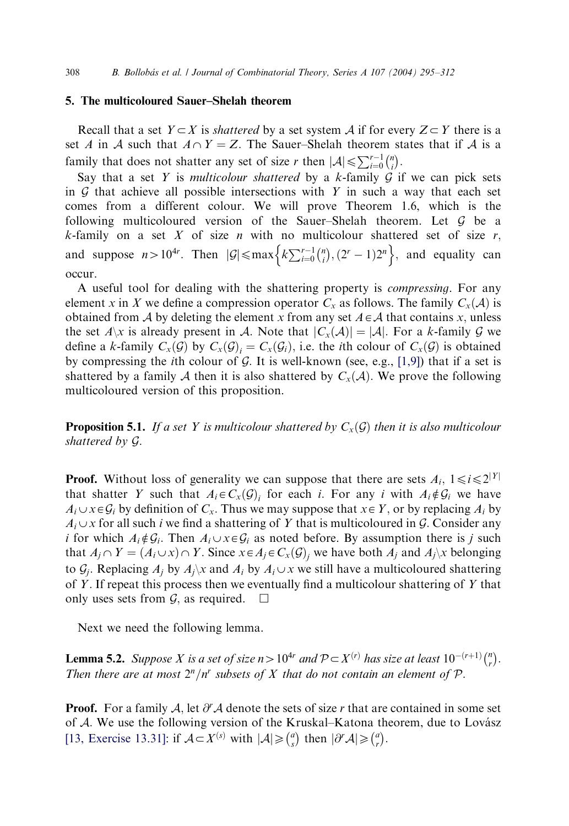#### 5. The multicoloured Sauer–Shelah theorem

Recall that a set  $Y \subset X$  is *shattered* by a set system A if for every  $Z \subset Y$  there is a set A in A such that  $A \cap Y = Z$ . The Sauer–Shelah theorem states that if A is a family that does not shatter any set of size r then  $|\mathcal{A}| \leq \sum_{i=0}^{r-1} {n \choose i}$  $\binom{n}{i}$ .

Say that a set Y is multicolour shattered by a k-family  $G$  if we can pick sets in  $G$  that achieve all possible intersections with Y in such a way that each set comes from a different colour. We will prove Theorem 1.6, which is the following multicoloured version of the Sauer–Shelah theorem. Let G be a  $k$ -family on a set  $X$  of size  $n$  with no multicolour shattered set of size  $r$ , and suppose  $n > 10^{4r}$ . Then  $|\mathcal{G}| \le \max \left\{ k \sum_{i=0}^{r-1} {n \choose i} \right\}$  $\{k\sum_{i=0}^{r-1} {n \choose i}, (2^r-1)2^n\}$ , and equality can occur.

A useful tool for dealing with the shattering property is compressing. For any element x in X we define a compression operator  $C_x$  as follows. The family  $C_x(\mathcal{A})$  is obtained from A by deleting the element x from any set  $A \in \mathcal{A}$  that contains x, unless the set  $A\setminus x$  is already present in A. Note that  $|C_x(A)| = |A|$ . For a k-family G we define a k-family  $C_x(\mathcal{G})$  by  $C_x(\mathcal{G})_i = C_x(\mathcal{G}_i)$ , i.e. the *i*th colour of  $C_x(\mathcal{G})$  is obtained by compressing the *i*th colour of  $G$ . It is well-known (see, e.g., [\[1,9\]\)](#page-16-0) that if a set is shattered by a family A then it is also shattered by  $C_x(A)$ . We prove the following multicoloured version of this proposition.

**Proposition 5.1.** If a set Y is multicolour shattered by  $C_x(\mathcal{G})$  then it is also multicolour shattered by G:

**Proof.** Without loss of generality we can suppose that there are sets  $A_i$ ,  $1 \le i \le 2^{|Y|}$ that shatter Y such that  $A_i \in C_x(\mathcal{G})$  for each i. For any i with  $A_i \notin \mathcal{G}_i$  we have  $A_i \cup x \in \mathcal{G}_i$  by definition of  $C_x$ . Thus we may suppose that  $x \in Y$ , or by replacing  $A_i$  by  $A_i \cup x$  for all such i we find a shattering of Y that is multicoloured in G. Consider any i for which  $A_i \notin \mathcal{G}_i$ . Then  $A_i \cup x \in \mathcal{G}_i$  as noted before. By assumption there is j such that  $A_j \cap Y = (A_i \cup x) \cap Y$ . Since  $x \in A_j \in C_x(\mathcal{G})$ , we have both  $A_j$  and  $A_j \setminus x$  belonging to  $\mathcal{G}_i$ . Replacing  $A_i$  by  $A_i \setminus \mathcal{X}$  and  $A_i$  by  $A_i \cup \mathcal{X}$  we still have a multicoloured shattering of Y. If repeat this process then we eventually find a multicolour shattering of Y that only uses sets from  $\mathcal{G}$ , as required.  $\Box$ 

Next we need the following lemma.

**Lemma 5.2.** Suppose X is a set of size  $n>10^{4r}$  and  $\mathcal{P} \subset X^{(r)}$  has size at least  $10^{-(r+1)}\binom{n}{r}$  $\binom{n}{r}$ . Then there are at most  $2^n/n^r$  subsets of X that do not contain an element of P.

**Proof.** For a family A, let  $\partial^r A$  denote the sets of size r that are contained in some set of A. We use the following version of the Kruskal–Katona theorem, due to Lovász [\[13, Exercise 13.31\]](#page-17-0): if  $\mathcal{A} \subset X^{(s)}$  with  $|\mathcal{A}| \geq \binom{a}{s}$  $\binom{a}{s}$  then  $|\partial^r A| \geq \binom{a}{r}$  $\begin{pmatrix} a \\ r \end{pmatrix}$ .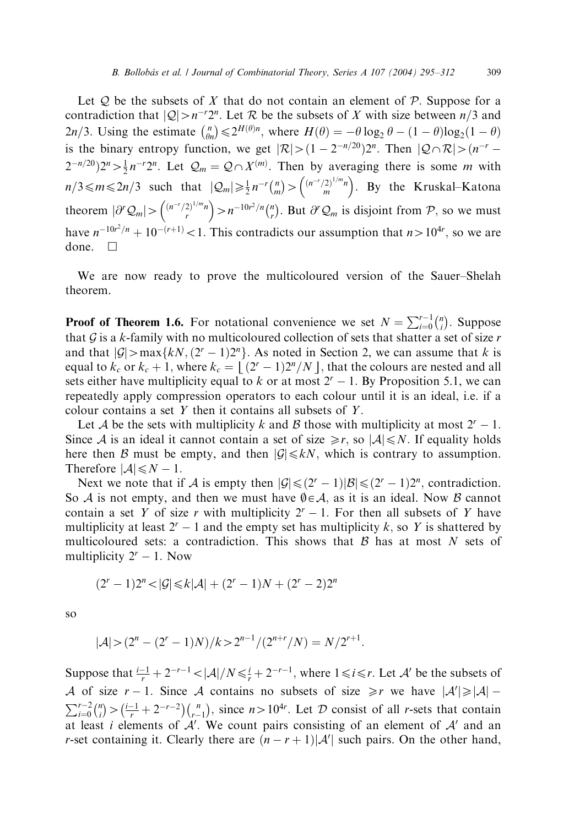Let  $Q$  be the subsets of X that do not contain an element of  $P$ . Suppose for a contradiction that  $|Q| > n^{-r}2^n$ . Let R be the subsets of X with size between  $n/3$  and  $2n/3$ . Using the estimate  $\binom{n}{\theta n}$  ${n \choose \theta_n} \leq 2^{H(\theta)n}$ , where  $H(\theta) = -\theta \log_2 \theta - (1 - \theta) \log_2 (1 - \theta)$ is the binary entropy function, we get  $|\mathcal{R}| > (1 - 2^{-n/20})2^n$ . Then  $|\mathcal{Q} \cap \mathcal{R}| > (n^{-r} - 1)$  $(2^{-n/20})2^n > \frac{1}{2}n^{-r}2^n$ . Let  $\mathcal{Q}_m = \mathcal{Q} \cap X^{(m)}$ . Then by averaging there is some m with  $n/3 \le m \le 2n/3$  such that  $|Q_m| \ge \frac{1}{2} n^{-r} {n \choose m}$  $\binom{n}{m} > \binom{(n^{-r}/2)^{1/m}n}{m}$ . By the Kruskal–Katona theorem  $|\partial^r Q_m| > \binom{(n^{-r}/2)^{1/m}n}{r} > n^{-10r^2/n} \binom{n}{r}$  $\binom{n}{r}$ . But  $\partial^r Q_m$  is disjoint from  $\mathcal{P}$ , so we must have  $n^{-10r^2/n} + 10^{-(r+1)} < 1$ . This contradicts our assumption that  $n > 10^{4r}$ , so we are done.  $\square$ 

We are now ready to prove the multicoloured version of the Sauer–Shelah theorem.

**Proof of Theorem 1.6.** For notational convenience we set  $N = \sum_{i=0}^{r-1} {n \choose i}$  $\binom{n}{i}$ . Suppose that  $G$  is a k-family with no multicoloured collection of sets that shatter a set of size  $r$ and that  $|\mathcal{G}|$  > max{ $kN$ ,  $(2<sup>r</sup> - 1)2<sup>n</sup>$ }. As noted in Section 2, we can assume that k is equal to  $k_c$  or  $k_c + 1$ , where  $k_c = | (2^r - 1)2^n/N |$ , that the colours are nested and all sets either have multiplicity equal to k or at most  $2<sup>r</sup> - 1$ . By Proposition 5.1, we can repeatedly apply compression operators to each colour until it is an ideal, i.e. if a colour contains a set  $Y$  then it contains all subsets of  $Y$ .

Let A be the sets with multiplicity k and B those with multiplicity at most  $2^r - 1$ . Since A is an ideal it cannot contain a set of size  $\geq r$ , so  $|A| \leq N$ . If equality holds here then B must be empty, and then  $|\mathcal{G}| \leq kN$ , which is contrary to assumption. Therefore  $|\mathcal{A}| \leq N - 1$ .

Next we note that if A is empty then  $|G| \leq (2^r - 1)|B| \leq (2^r - 1)2^n$ , contradiction. So A is not empty, and then we must have  $\emptyset \in \mathcal{A}$ , as it is an ideal. Now B cannot contain a set Y of size r with multiplicity  $2<sup>r</sup> - 1$ . For then all subsets of Y have multiplicity at least  $2^r - 1$  and the empty set has multiplicity k, so Y is shattered by multicoloured sets: a contradiction. This shows that  $\beta$  has at most N sets of multiplicity  $2^{r} - 1$ . Now

$$
(2^{r} - 1)2^{n} < |\mathcal{G}| \leq k|\mathcal{A}| + (2^{r} - 1)N + (2^{r} - 2)2^{n}
$$

so

$$
|\mathcal{A}| > (2^n - (2^r - 1)N)/k > 2^{n-1}/(2^{n+r}/N) = N/2^{r+1}.
$$

Suppose that  $\frac{i-1}{r} + 2^{-r-1} < |\mathcal{A}|/N \leq \frac{i}{r} + 2^{-r-1}$ , where  $1 \leq i \leq r$ . Let  $\mathcal{A}'$  be the subsets of A of size  $r-1$ . Since A contains no subsets of size  $\geq r$  we have  $|A'|\geq |A|-1$  $\sum_{i=0}^{r-2} \binom{n}{i}$  $\binom{n}{i} > \left(\frac{i-1}{r} + 2^{-r-2}\right) \binom{n}{r-1}$  $\binom{n}{r-1}$ , since  $n>10^{4r}$ . Let  $D$  consist of all r-sets that contain at least i elements of  $A'$ . We count pairs consisting of an element of  $A'$  and an *r*-set containing it. Clearly there are  $(n - r + 1)|A'|$  such pairs. On the other hand,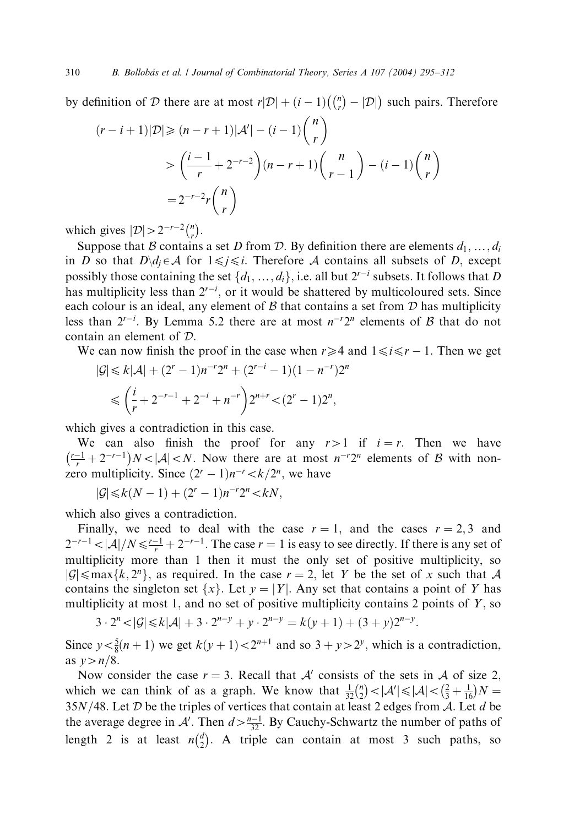by definition of D there are at most  $r|\mathcal{D}| + (i-1)\binom{n}{r}$  $\left( \binom{n}{r} - |\mathcal{D}| \right)$  such pairs. Therefore

$$
(r-i+1)|\mathcal{D}| \geq (n-r+1)|\mathcal{A}'| - (i-1)\binom{n}{r}
$$
  
> 
$$
\left(\frac{i-1}{r} + 2^{-r-2}\right)(n-r+1)\binom{n}{r-1} - (i-1)\binom{n}{r}
$$
  
= 
$$
2^{-r-2}r\binom{n}{r}
$$

which gives  $|\mathcal{D}| > 2^{-r-2} \binom{n}{r}$  $\binom{n}{r}$ .

Suppose that B contains a set D from D. By definition there are elements  $d_1, ..., d_i$ in D so that  $D \setminus d_j \in \mathcal{A}$  for  $1 \leq j \leq i$ . Therefore A contains all subsets of D, except possibly those containing the set  $\{d_1, \ldots, d_i\}$ , i.e. all but  $2^{r-i}$  subsets. It follows that D has multiplicity less than  $2^{r-i}$ , or it would be shattered by multicoloured sets. Since each colour is an ideal, any element of  $\beta$  that contains a set from  $\mathcal D$  has multiplicity less than  $2^{r-i}$ . By Lemma 5.2 there are at most  $n^{-r}2^n$  elements of B that do not contain an element of D:

We can now finish the proof in the case when  $r \geq 4$  and  $1 \leq i \leq r - 1$ . Then we get

$$
|\mathcal{G}| \le k|\mathcal{A}| + (2^r - 1)n^{-r}2^n + (2^{r-i} - 1)(1 - n^{-r})2^n
$$
  

$$
\le \left(\frac{i}{r} + 2^{-r-1} + 2^{-i} + n^{-r}\right)2^{n+r} < (2^r - 1)2^n,
$$

which gives a contradiction in this case.

We can also finish the proof for any  $r>1$  if  $i = r$ . Then we have  $\left(\frac{r-1}{r} + 2^{-r-1}\right)N < |\mathcal{A}| < N$ . Now there are at most  $n^{-r}2^n$  elements of B with nonzero multiplicity. Since  $(2^{r} - 1)n^{-r} < k/2^{n}$ , we have

 $|\mathcal{G}| \leq k(N-1) + (2^r - 1)n^{-r}2^n < kN,$ 

which also gives a contradiction.

Finally, we need to deal with the case  $r = 1$ , and the cases  $r = 2, 3$  and  $2^{-r-1} < |\mathcal{A}|/N \le \frac{r-1}{r} + 2^{-r-1}$ . The case  $r = 1$  is easy to see directly. If there is any set of multiplicity more than 1 then it must the only set of positive multiplicity, so  $|\mathcal{G}| \leq \max\{k, 2^n\}$ , as required. In the case  $r = 2$ , let Y be the set of x such that A contains the singleton set  $\{x\}$ . Let  $y = |Y|$ . Any set that contains a point of Y has multiplicity at most 1, and no set of positive multiplicity contains 2 points of  $Y$ , so

$$
3 \cdot 2^{n} < |\mathcal{G}| \le k |\mathcal{A}| + 3 \cdot 2^{n-y} + y \cdot 2^{n-y} = k(y+1) + (3+y)2^{n-y}.
$$

Since  $y < \frac{5}{8}(n+1)$  we get  $k(y+1) < 2^{n+1}$  and so  $3 + y > 2^y$ , which is a contradiction, as  $v>n/8$ .

Now consider the case  $r = 3$ . Recall that A' consists of the sets in A of size 2, which we can think of as a graph. We know that  $\frac{1}{32} {n \choose 2}$  $\binom{n}{2} < |\mathcal{A}'| \leq |\mathcal{A}| < \left(\frac{2}{3} + \frac{1}{16}\right)N =$  $35N/48$ . Let D be the triples of vertices that contain at least 2 edges from A. Let d be the average degree in A'. Then  $d > \frac{n-1}{32}$ . By Cauchy-Schwartz the number of paths of length 2 is at least  $n\binom{d}{2}$  $\binom{d}{2}$ . A triple can contain at most 3 such paths, so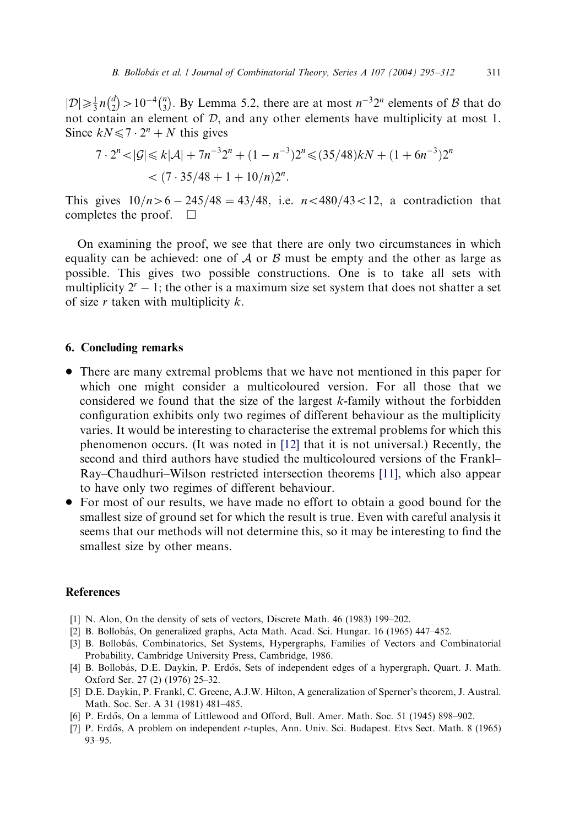<span id="page-16-0"></span> $|\mathcal{D}| \geqslant \frac{1}{3} n \binom{d}{2}$  $\binom{d}{2}$  > 10<sup>-4</sup> $\binom{n}{3}$  $\binom{n}{3}$ . By Lemma 5.2, there are at most  $n^{-3}2^n$  elements of B that do not contain an element of  $D$ , and any other elements have multiplicity at most 1. Since  $kN \leq 7 \cdot 2^n + N$  this gives

$$
7 \cdot 2^n < |\mathcal{G}| \le k|\mathcal{A}| + 7n^{-3}2^n + (1 - n^{-3})2^n \le (35/48)kN + (1 + 6n^{-3})2^n
$$
\n
$$
< (7 \cdot 35/48 + 1 + 10/n)2^n.
$$

This gives  $10/n>6 - 245/48 = 43/48$ , i.e.  $n< 480/43 < 12$ , a contradiction that completes the proof.  $\square$ 

On examining the proof, we see that there are only two circumstances in which equality can be achieved: one of A or B must be empty and the other as large as possible. This gives two possible constructions. One is to take all sets with multiplicity  $2^{r} - 1$ ; the other is a maximum size set system that does not shatter a set of size  $r$  taken with multiplicity  $k$ .

#### 6. Concluding remarks

- There are many extremal problems that we have not mentioned in this paper for which one might consider a multicoloured version. For all those that we considered we found that the size of the largest  $k$ -family without the forbidden configuration exhibits only two regimes of different behaviour as the multiplicity varies. It would be interesting to characterise the extremal problems for which this phenomenon occurs. (It was noted in [\[12\]](#page-17-0) that it is not universal.) Recently, the second and third authors have studied the multicoloured versions of the Frankl– Ray–Chaudhuri–Wilson restricted intersection theorems [\[11\]](#page-17-0), which also appear to have only two regimes of different behaviour.
- For most of our results, we have made no effort to obtain a good bound for the smallest size of ground set for which the result is true. Even with careful analysis it seems that our methods will not determine this, so it may be interesting to find the smallest size by other means.

#### **References**

- [1] N. Alon, On the density of sets of vectors, Discrete Math. 46 (1983) 199–202.
- [2] B. Bollobás, On generalized graphs, Acta Math. Acad. Sci. Hungar. 16 (1965) 447-452.
- [3] B. Bollobás, Combinatorics, Set Systems, Hypergraphs, Families of Vectors and Combinatorial Probability, Cambridge University Press, Cambridge, 1986.
- [4] B. Bollobás, D.E. Daykin, P. Erdős, Sets of independent edges of a hypergraph, Quart. J. Math. Oxford Ser. 27 (2) (1976) 25–32.
- [5] D.E. Daykin, P. Frankl, C. Greene, A.J.W. Hilton, A generalization of Sperner's theorem, J. Austral. Math. Soc. Ser. A 31 (1981) 481–485.
- [6] P. Erdős, On a lemma of Littlewood and Offord, Bull. Amer. Math. Soc. 51 (1945) 898–902.
- [7] P. Erdős, A problem on independent r-tuples, Ann. Univ. Sci. Budapest. Etvs Sect. Math. 8 (1965) 93–95.